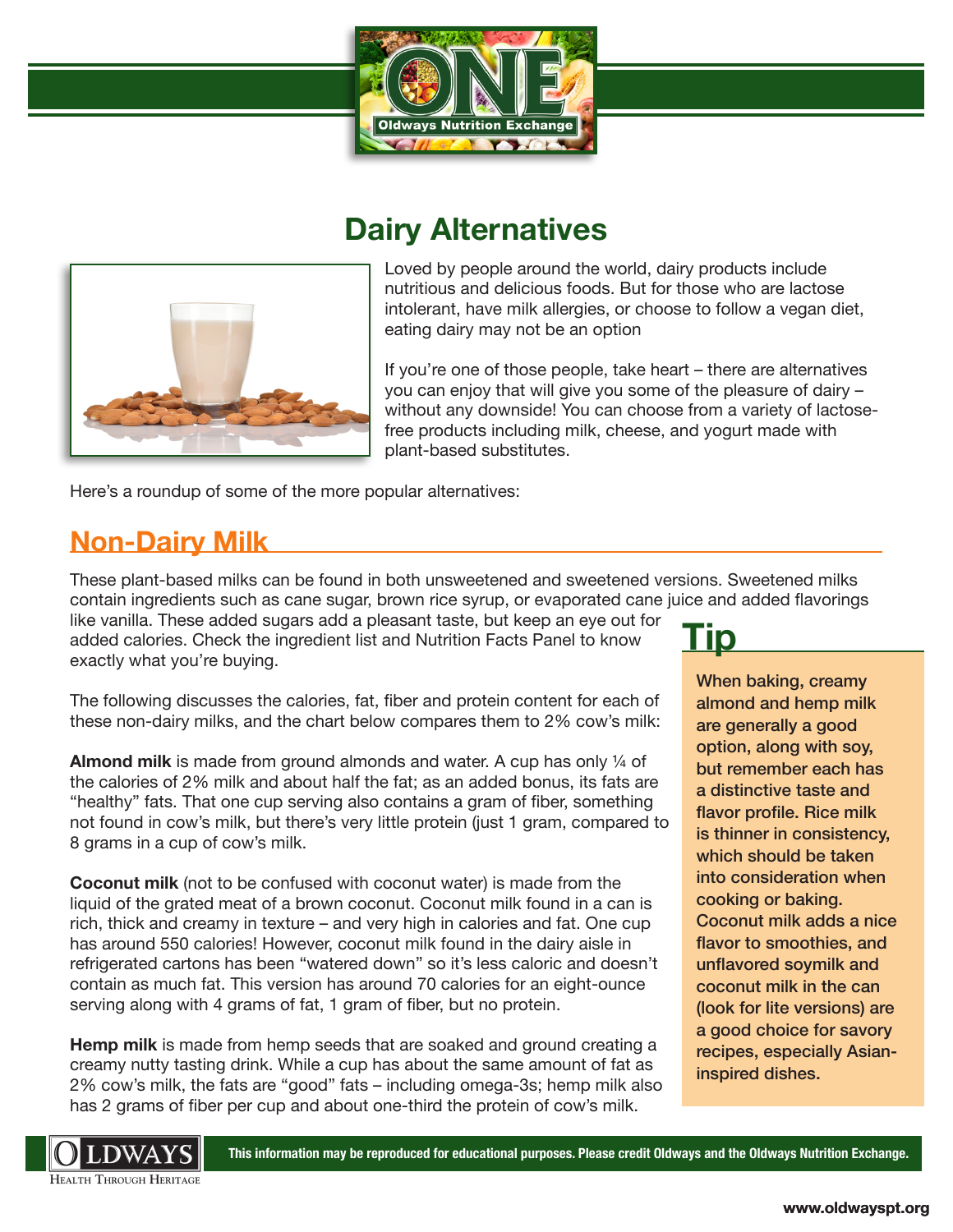

## **Dairy Alternatives**



Loved by people around the world, dairy products include nutritious and delicious foods. But for those who are lactose intolerant, have milk allergies, or choose to follow a vegan diet, eating dairy may not be an option

If you're one of those people, take heart – there are alternatives you can enjoy that will give you some of the pleasure of dairy – without any downside! You can choose from a variety of lactosefree products including milk, cheese, and yogurt made with plant-based substitutes.

Here's a roundup of some of the more popular alternatives:

### **Non-Dairy Milk**

These plant-based milks can be found in both unsweetened and sweetened versions. Sweetened milks contain ingredients such as cane sugar, brown rice syrup, or evaporated cane juice and added flavorings

like vanilla. These added sugars add a pleasant taste, but keep an eye out for added calories. Check the ingredient list and Nutrition Facts Panel to know exactly what you're buying.

The following discusses the calories, fat, fiber and protein content for each of these non-dairy milks, and the chart below compares them to 2% cow's milk:

**Almond milk** is made from ground almonds and water. A cup has only ¼ of the calories of 2% milk and about half the fat; as an added bonus, its fats are "healthy" fats. That one cup serving also contains a gram of fiber, something not found in cow's milk, but there's very little protein (just 1 gram, compared to 8 grams in a cup of cow's milk.

**Coconut milk** (not to be confused with coconut water) is made from the liquid of the grated meat of a brown coconut. Coconut milk found in a can is rich, thick and creamy in texture – and very high in calories and fat. One cup has around 550 calories! However, coconut milk found in the dairy aisle in refrigerated cartons has been "watered down" so it's less caloric and doesn't contain as much fat. This version has around 70 calories for an eight-ounce serving along with 4 grams of fat, 1 gram of fiber, but no protein.

**Hemp milk** is made from hemp seeds that are soaked and ground creating a creamy nutty tasting drink. While a cup has about the same amount of fat as 2% cow's milk, the fats are "good" fats – including omega-3s; hemp milk also has 2 grams of fiber per cup and about one-third the protein of cow's milk.

# **Tip**

When baking, creamy almond and hemp milk are generally a good option, along with soy, but remember each has a distinctive taste and flavor profile. Rice milk is thinner in consistency, which should be taken into consideration when cooking or baking. Coconut milk adds a nice flavor to smoothies, and unflavored soymilk and coconut milk in the can (look for lite versions) are a good choice for savory recipes, especially Asianinspired dishes.



**This information may be reproduced for educational purposes. Please credit Oldways and the Oldways Nutrition Exchange.**

**HEALTH THROUGH HERITAGE**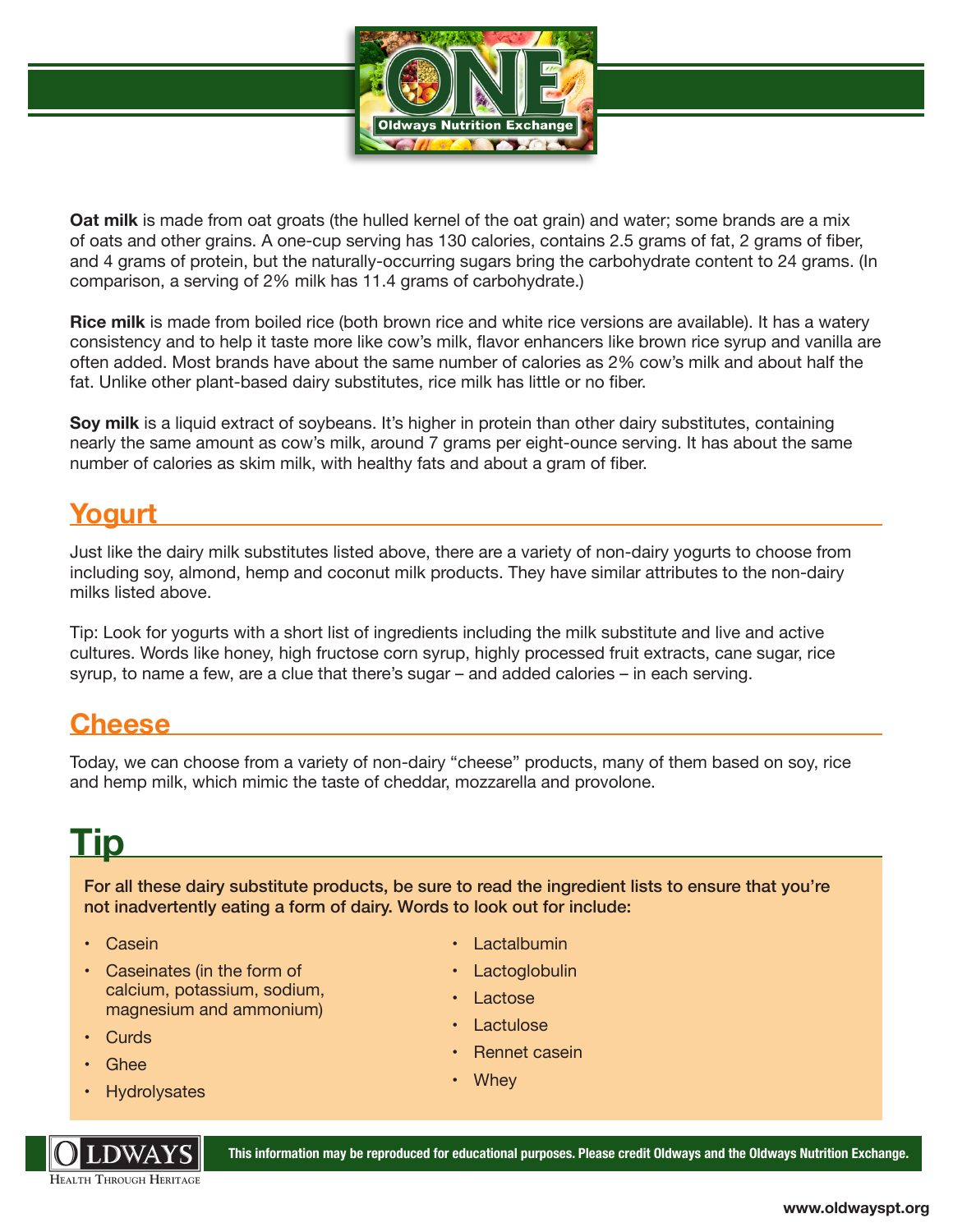

**Oat milk** is made from oat groats (the hulled kernel of the oat grain) and water; some brands are a mix of oats and other grains. A one-cup serving has 130 calories, contains 2.5 grams of fat, 2 grams of fiber, and 4 grams of protein, but the naturally-occurring sugars bring the carbohydrate content to 24 grams. (In comparison, a serving of 2% milk has 11.4 grams of carbohydrate.)

**Rice milk** is made from boiled rice (both brown rice and white rice versions are available). It has a watery consistency and to help it taste more like cow's milk, flavor enhancers like brown rice syrup and vanilla are often added. Most brands have about the same number of calories as 2% cow's milk and about half the fat. Unlike other plant-based dairy substitutes, rice milk has little or no fiber.

**Soy milk** is a liquid extract of soybeans. It's higher in protein than other dairy substitutes, containing nearly the same amount as cow's milk, around 7 grams per eight-ounce serving. It has about the same number of calories as skim milk, with healthy fats and about a gram of fiber.

### **Yogurt**

Just like the dairy milk substitutes listed above, there are a variety of non-dairy yogurts to choose from including soy, almond, hemp and coconut milk products. They have similar attributes to the non-dairy milks listed above.

Tip: Look for yogurts with a short list of ingredients including the milk substitute and live and active cultures. Words like honey, high fructose corn syrup, highly processed fruit extracts, cane sugar, rice syrup, to name a few, are a clue that there's sugar – and added calories – in each serving.

#### **Cheese**

Today, we can choose from a variety of non-dairy "cheese" products, many of them based on soy, rice and hemp milk, which mimic the taste of cheddar, mozzarella and provolone.

# **Tip**

For all these dairy substitute products, be sure to read the ingredient lists to ensure that you're not inadvertently eating a form of dairy. Words to look out for include:

- Casein
- Caseinates (in the form of calcium, potassium, sodium, magnesium and ammonium)
- Curds
- Ghee
- **Hydrolysates**



**Lactalbumin** 

- **Lactoglobulin**
- **Lactose**
- **Lactulose**
- Rennet casein
- Whey

**This information may be reproduced for educational purposes. Please credit Oldways and the Oldways Nutrition Exchange.**